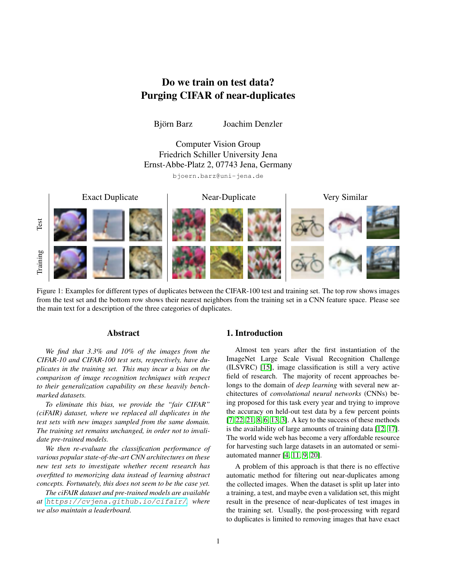# Do we train on test data? Purging CIFAR of near-duplicates

Björn Barz Joachim Denzler

Computer Vision Group Friedrich Schiller University Jena Ernst-Abbe-Platz 2, 07743 Jena, Germany bjoern.barz@uni-jena.de



<span id="page-0-0"></span>Figure 1: Examples for different types of duplicates between the CIFAR-100 test and training set. The top row shows images from the test set and the bottom row shows their nearest neighbors from the training set in a CNN feature space. Please see the main text for a description of the three categories of duplicates.

## Abstract

*We find that 3.3% and 10% of the images from the CIFAR-10 and CIFAR-100 test sets, respectively, have duplicates in the training set. This may incur a bias on the comparison of image recognition techniques with respect to their generalization capability on these heavily benchmarked datasets.*

*To eliminate this bias, we provide the "fair CIFAR" (ciFAIR) dataset, where we replaced all duplicates in the test sets with new images sampled from the same domain. The training set remains unchanged, in order not to invalidate pre-trained models.*

*We then re-evaluate the classification performance of various popular state-of-the-art CNN architectures on these new test sets to investigate whether recent research has overfitted to memorizing data instead of learning abstract concepts. Fortunately, this does not seem to be the case yet.*

*The ciFAIR dataset and pre-trained models are available at* <https://cvjena.github.io/cifair/>*, where we also maintain a leaderboard.*

## 1. Introduction

Almost ten years after the first instantiation of the ImageNet Large Scale Visual Recognition Challenge (ILSVRC) [\[15\]](#page-4-0), image classification is still a very active field of research. The majority of recent approaches belongs to the domain of *deep learning* with several new architectures of *convolutional neural networks* (CNNs) being proposed for this task every year and trying to improve the accuracy on held-out test data by a few percent points [\[7,](#page-4-1) [22,](#page-4-2) [21,](#page-4-3) [8,](#page-4-4) [6,](#page-4-5) [13,](#page-4-6) [3\]](#page-4-7). A key to the success of these methods is the availability of large amounts of training data [\[12,](#page-4-8) [17\]](#page-4-9). The world wide web has become a very affordable resource for harvesting such large datasets in an automated or semiautomated manner [\[4,](#page-4-10) [11,](#page-4-11) [9,](#page-4-12) [20\]](#page-4-13).

A problem of this approach is that there is no effective automatic method for filtering out near-duplicates among the collected images. When the dataset is split up later into a training, a test, and maybe even a validation set, this might result in the presence of near-duplicates of test images in the training set. Usually, the post-processing with regard to duplicates is limited to removing images that have exact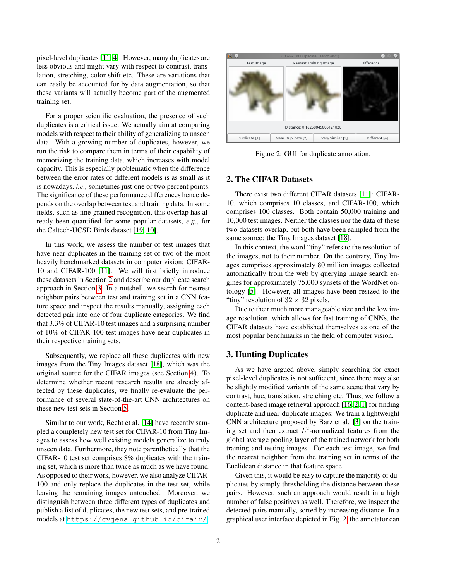pixel-level duplicates [\[11,](#page-4-11) [4\]](#page-4-10). However, many duplicates are less obvious and might vary with respect to contrast, translation, stretching, color shift etc. These are variations that can easily be accounted for by data augmentation, so that these variants will actually become part of the augmented training set.

For a proper scientific evaluation, the presence of such duplicates is a critical issue: We actually aim at comparing models with respect to their ability of generalizing to unseen data. With a growing number of duplicates, however, we run the risk to compare them in terms of their capability of memorizing the training data, which increases with model capacity. This is especially problematic when the difference between the error rates of different models is as small as it is nowadays, *i.e*., sometimes just one or two percent points. The significance of these performance differences hence depends on the overlap between test and training data. In some fields, such as fine-grained recognition, this overlap has already been quantified for some popular datasets, *e.g*., for the Caltech-UCSD Birds dataset [\[19,](#page-4-14) [10\]](#page-4-15).

In this work, we assess the number of test images that have near-duplicates in the training set of two of the most heavily benchmarked datasets in computer vision: CIFAR-10 and CIFAR-100 [\[11\]](#page-4-11). We will first briefly introduce these datasets in Section [2](#page-1-0) and describe our duplicate search approach in Section [3.](#page-1-1) In a nutshell, we search for nearest neighbor pairs between test and training set in a CNN feature space and inspect the results manually, assigning each detected pair into one of four duplicate categories. We find that 3.3% of CIFAR-10 test images and a surprising number of 10% of CIFAR-100 test images have near-duplicates in their respective training sets.

Subsequently, we replace all these duplicates with new images from the Tiny Images dataset [\[18\]](#page-4-16), which was the original source for the CIFAR images (see Section [4\)](#page-2-0). To determine whether recent research results are already affected by these duplicates, we finally re-evaluate the performance of several state-of-the-art CNN architectures on these new test sets in Section [5.](#page-3-0)

Similar to our work, Recht et al. [\[14\]](#page-4-17) have recently sampled a completely new test set for CIFAR-10 from Tiny Images to assess how well existing models generalize to truly unseen data. Furthermore, they note parenthetically that the CIFAR-10 test set comprises 8% duplicates with the training set, which is more than twice as much as we have found. As opposed to their work, however, we also analyze CIFAR-100 and only replace the duplicates in the test set, while leaving the remaining images untouched. Moreover, we distinguish between three different types of duplicates and publish a list of duplicates, the new test sets, and pre-trained models at <https://cvjena.github.io/cifair/>.

<span id="page-1-2"></span>

Figure 2: GUI for duplicate annotation.

# <span id="page-1-0"></span>2. The CIFAR Datasets

There exist two different CIFAR datasets [\[11\]](#page-4-11): CIFAR-10, which comprises 10 classes, and CIFAR-100, which comprises 100 classes. Both contain 50,000 training and 10,000 test images. Neither the classes nor the data of these two datasets overlap, but both have been sampled from the same source: the Tiny Images dataset [\[18\]](#page-4-16).

In this context, the word "tiny" refers to the resolution of the images, not to their number. On the contrary, Tiny Images comprises approximately 80 million images collected automatically from the web by querying image search engines for approximately 75,000 synsets of the WordNet ontology [\[5\]](#page-4-18). However, all images have been resized to the "tiny" resolution of  $32 \times 32$  pixels.

Due to their much more manageable size and the low image resolution, which allows for fast training of CNNs, the CIFAR datasets have established themselves as one of the most popular benchmarks in the field of computer vision.

# <span id="page-1-1"></span>3. Hunting Duplicates

As we have argued above, simply searching for exact pixel-level duplicates is not sufficient, since there may also be slightly modified variants of the same scene that vary by contrast, hue, translation, stretching etc. Thus, we follow a content-based image retrieval approach [\[16,](#page-4-19) [2,](#page-4-20) [1\]](#page-3-1) for finding duplicate and near-duplicate images: We train a lightweight CNN architecture proposed by Barz et al. [\[3\]](#page-4-7) on the training set and then extract  $L^2$ -normalized features from the global average pooling layer of the trained network for both training and testing images. For each test image, we find the nearest neighbor from the training set in terms of the Euclidean distance in that feature space.

Given this, it would be easy to capture the majority of duplicates by simply thresholding the distance between these pairs. However, such an approach would result in a high number of false positives as well. Therefore, we inspect the detected pairs manually, sorted by increasing distance. In a graphical user interface depicted in Fig. [2,](#page-1-2) the annotator can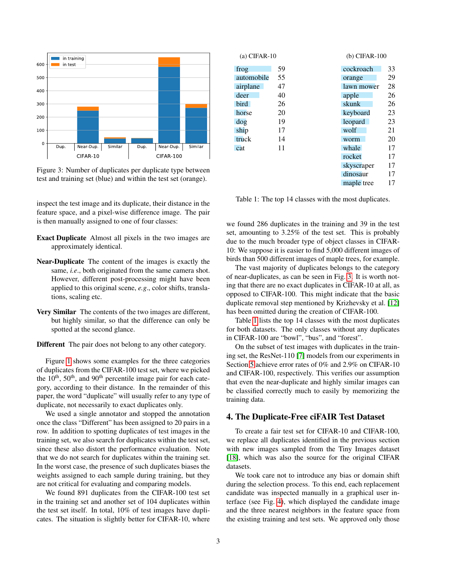<span id="page-2-1"></span>

Figure 3: Number of duplicates per duplicate type between test and training set (blue) and within the test set (orange).

inspect the test image and its duplicate, their distance in the feature space, and a pixel-wise difference image. The pair is then manually assigned to one of four classes:

- Exact Duplicate Almost all pixels in the two images are approximately identical.
- Near-Duplicate The content of the images is exactly the same, *i.e*., both originated from the same camera shot. However, different post-processing might have been applied to this original scene, *e.g*., color shifts, translations, scaling etc.
- Very Similar The contents of the two images are different, but highly similar, so that the difference can only be spotted at the second glance.
- Different The pair does not belong to any other category.

Figure [1](#page-0-0) shows some examples for the three categories of duplicates from the CIFAR-100 test set, where we picked the  $10<sup>th</sup>$ ,  $50<sup>th</sup>$ , and  $90<sup>th</sup>$  percentile image pair for each category, according to their distance. In the remainder of this paper, the word "duplicate" will usually refer to any type of duplicate, not necessarily to exact duplicates only.

We used a single annotator and stopped the annotation once the class "Different" has been assigned to 20 pairs in a row. In addition to spotting duplicates of test images in the training set, we also search for duplicates within the test set, since these also distort the performance evaluation. Note that we do not search for duplicates within the training set. In the worst case, the presence of such duplicates biases the weights assigned to each sample during training, but they are not critical for evaluating and comparing models.

We found 891 duplicates from the CIFAR-100 test set in the training set and another set of 104 duplicates within the test set itself. In total, 10% of test images have duplicates. The situation is slightly better for CIFAR-10, where

<span id="page-2-2"></span>

| $(a)$ CIFAR-10 |    | $(b)$ CIFAR-100 |    |  |  |
|----------------|----|-----------------|----|--|--|
| frog           | 59 | cockroach       | 33 |  |  |
| automobile     | 55 | orange          | 29 |  |  |
| airplane       | 47 | lawn mower      | 28 |  |  |
| deer           | 40 | apple           | 26 |  |  |
| bird           | 26 | skunk           | 26 |  |  |
| horse          | 20 | keyboard        | 23 |  |  |
| dog            | 19 | leopard         | 23 |  |  |
| ship           | 17 | wolf            | 21 |  |  |
| truck          | 14 | worm            | 20 |  |  |
| cat            | 11 | whale           | 17 |  |  |
|                |    | rocket          | 17 |  |  |
|                |    | skyscraper      | 17 |  |  |
|                |    | dinosaur        | 17 |  |  |
|                |    | maple tree      | 17 |  |  |

Table 1: The top 14 classes with the most duplicates.

we found 286 duplicates in the training and 39 in the test set, amounting to 3.25% of the test set. This is probably due to the much broader type of object classes in CIFAR-10: We suppose it is easier to find 5,000 different images of birds than 500 different images of maple trees, for example.

The vast majority of duplicates belongs to the category of near-duplicates, as can be seen in Fig. [3.](#page-2-1) It is worth noting that there are no exact duplicates in CIFAR-10 at all, as opposed to CIFAR-100. This might indicate that the basic duplicate removal step mentioned by Krizhevsky et al. [\[12\]](#page-4-8) has been omitted during the creation of CIFAR-100.

Table [1](#page-2-2) lists the top 14 classes with the most duplicates for both datasets. The only classes without any duplicates in CIFAR-100 are "bowl", "bus", and "forest".

On the subset of test images with duplicates in the training set, the ResNet-110 [\[7\]](#page-4-1) models from our experiments in Section [5](#page-3-0) achieve error rates of 0% and 2.9% on CIFAR-10 and CIFAR-100, respectively. This verifies our assumption that even the near-duplicate and highly similar images can be classified correctly much to easily by memorizing the training data.

### <span id="page-2-0"></span>4. The Duplicate-Free ciFAIR Test Dataset

To create a fair test set for CIFAR-10 and CIFAR-100, we replace all duplicates identified in the previous section with new images sampled from the Tiny Images dataset [\[18\]](#page-4-16), which was also the source for the original CIFAR datasets.

We took care not to introduce any bias or domain shift during the selection process. To this end, each replacement candidate was inspected manually in a graphical user interface (see Fig. [4\)](#page-3-2), which displayed the candidate image and the three nearest neighbors in the feature space from the existing training and test sets. We approved only those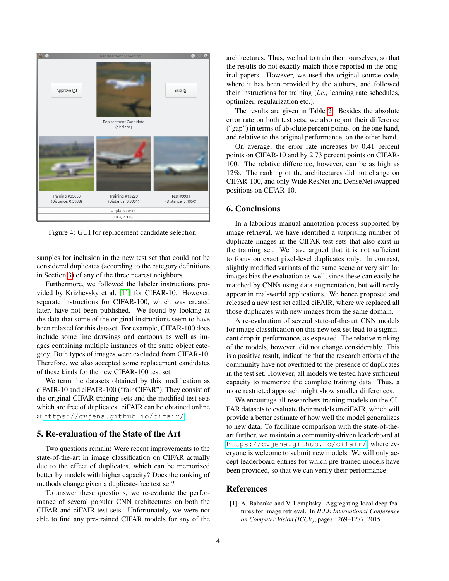<span id="page-3-2"></span>

Figure 4: GUI for replacement candidate selection.

samples for inclusion in the new test set that could not be considered duplicates (according to the category definitions in Section [3\)](#page-1-1) of any of the three nearest neighbors.

Furthermore, we followed the labeler instructions provided by Krizhevsky et al. [\[11\]](#page-4-11) for CIFAR-10. However, separate instructions for CIFAR-100, which was created later, have not been published. We found by looking at the data that some of the original instructions seem to have been relaxed for this dataset. For example, CIFAR-100 does include some line drawings and cartoons as well as images containing multiple instances of the same object category. Both types of images were excluded from CIFAR-10. Therefore, we also accepted some replacement candidates of these kinds for the new CIFAR-100 test set.

We term the datasets obtained by this modification as ciFAIR-10 and ciFAIR-100 ("fair CIFAR"). They consist of the original CIFAR training sets and the modified test sets which are free of duplicates. ciFAIR can be obtained online at <https://cvjena.github.io/cifair/>.

# <span id="page-3-0"></span>5. Re-evaluation of the State of the Art

Two questions remain: Were recent improvements to the state-of-the-art in image classification on CIFAR actually due to the effect of duplicates, which can be memorized better by models with higher capacity? Does the ranking of methods change given a duplicate-free test set?

To answer these questions, we re-evaluate the performance of several popular CNN architectures on both the CIFAR and ciFAIR test sets. Unfortunately, we were not able to find any pre-trained CIFAR models for any of the architectures. Thus, we had to train them ourselves, so that the results do not exactly match those reported in the original papers. However, we used the original source code, where it has been provided by the authors, and followed their instructions for training (*i.e*., learning rate schedules, optimizer, regularization etc.).

The results are given in Table [2.](#page-4-21) Besides the absolute error rate on both test sets, we also report their difference ("gap") in terms of absolute percent points, on the one hand, and relative to the original performance, on the other hand.

On average, the error rate increases by 0.41 percent points on CIFAR-10 and by 2.73 percent points on CIFAR-100. The relative difference, however, can be as high as 12%. The ranking of the architectures did not change on CIFAR-100, and only Wide ResNet and DenseNet swapped positions on CIFAR-10.

#### 6. Conclusions

In a laborious manual annotation process supported by image retrieval, we have identified a surprising number of duplicate images in the CIFAR test sets that also exist in the training set. We have argued that it is not sufficient to focus on exact pixel-level duplicates only. In contrast, slightly modified variants of the same scene or very similar images bias the evaluation as well, since these can easily be matched by CNNs using data augmentation, but will rarely appear in real-world applications. We hence proposed and released a new test set called ciFAIR, where we replaced all those duplicates with new images from the same domain.

A re-evaluation of several state-of-the-art CNN models for image classification on this new test set lead to a significant drop in performance, as expected. The relative ranking of the models, however, did not change considerably. This is a positive result, indicating that the research efforts of the community have not overfitted to the presence of duplicates in the test set. However, all models we tested have sufficient capacity to memorize the complete training data. Thus, a more restricted approach might show smaller differences.

We encourage all researchers training models on the CI-FAR datasets to evaluate their models on ciFAIR, which will provide a better estimate of how well the model generalizes to new data. To facilitate comparison with the state-of-theart further, we maintain a community-driven leaderboard at <https://cvjena.github.io/cifair/>, where everyone is welcome to submit new models. We will only accept leaderboard entries for which pre-trained models have been provided, so that we can verify their performance.

### References

<span id="page-3-1"></span>[1] A. Babenko and V. Lempitsky. Aggregating local deep features for image retrieval. In *IEEE International Conference on Computer Vision (ICCV)*, pages 1269–1277, 2015.